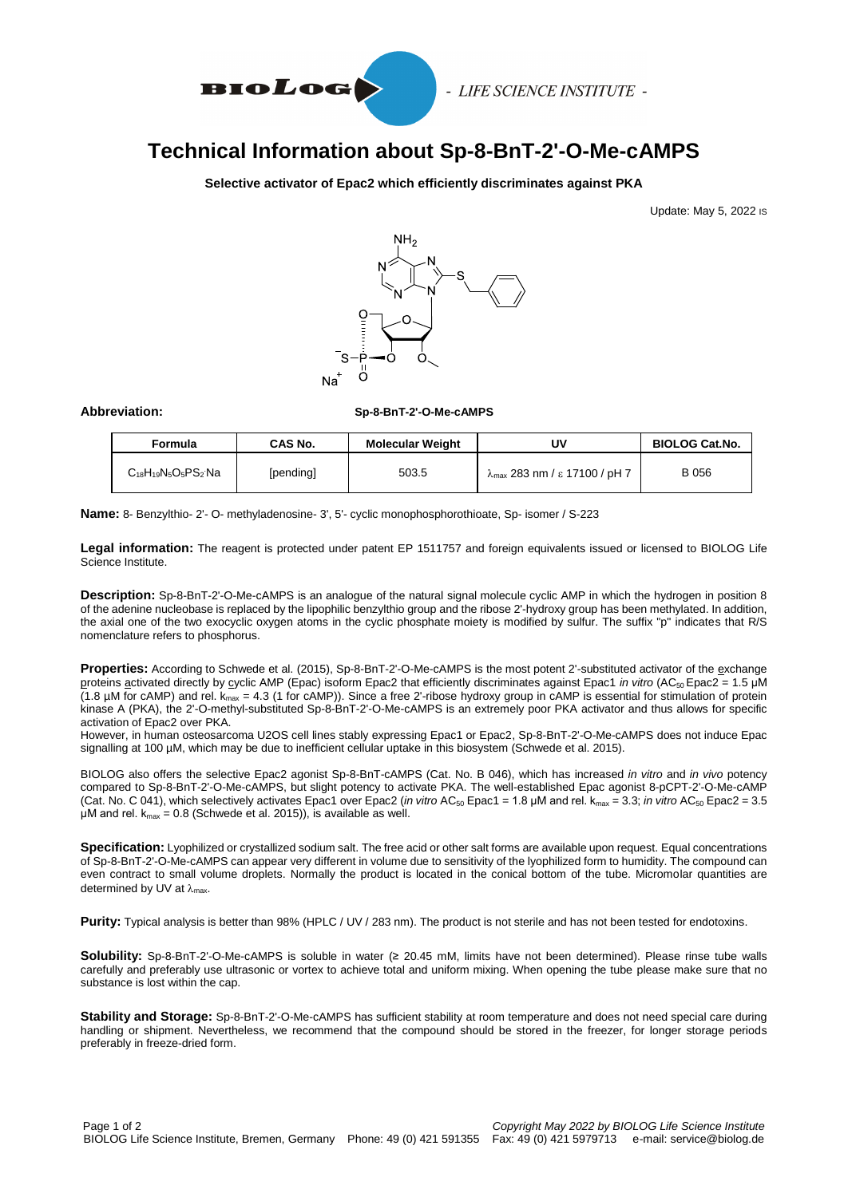

- LIFE SCIENCE INSTITUTE -

# **Technical Information about Sp-8-BnT-2'-O-Me-cAMPS**

### **Selective activator of Epac2 which efficiently discriminates against PKA**

Update: May 5, 2022 IS



#### **Abbreviation: Sp-8-BnT-2'-O-Me-cAMPS**

| Formula                     | CAS No.   | <b>Molecular Weight</b> | U٧                                             | <b>BIOLOG Cat.No.</b> |
|-----------------------------|-----------|-------------------------|------------------------------------------------|-----------------------|
| $C_{18}H_{19}N_5O_5PS_2$ Na | [pending] | 503.5                   | $\lambda_{\text{max}}$ 283 nm / ε 17100 / pH 7 | B 056                 |

**Name:** 8- Benzylthio- 2'- O- methyladenosine- 3', 5'- cyclic monophosphorothioate, Sp- isomer / S-223

**Legal information:** The reagent is protected under patent EP 1511757 and foreign equivalents issued or licensed to BIOLOG Life Science Institute.

**Description:** Sp-8-BnT-2'-O-Me-cAMPS is an analogue of the natural signal molecule cyclic AMP in which the hydrogen in position 8 of the adenine nucleobase is replaced by the lipophilic benzylthio group and the ribose 2'-hydroxy group has been methylated. In addition, the axial one of the two exocyclic oxygen atoms in the cyclic phosphate moiety is modified by sulfur. The suffix "p" indicates that R/S nomenclature refers to phosphorus.

**Properties:** According to Schwede et al. (2015), Sp-8-BnT-2'-O-Me-cAMPS is the most potent 2'-substituted activator of the exchange proteins activated directly by cyclic AMP (Epac) isoform Epac2 that efficiently discriminates against Epac1 *in vitro* (AC<sup>50</sup> Epac2 = 1.5 μM (1.8 µM for cAMP) and rel. kmax = 4.3 (1 for cAMP)). Since a free 2'-ribose hydroxy group in cAMP is essential for stimulation of protein kinase A (PKA), the 2'-O-methyl-substituted Sp-8-BnT-2'-O-Me-cAMPS is an extremely poor PKA activator and thus allows for specific activation of Epac2 over PKA.

However, in human osteosarcoma U2OS cell lines stably expressing Epac1 or Epac2, Sp-8-BnT-2'-O-Me-cAMPS does not induce Epac signalling at 100 µM, which may be due to inefficient cellular uptake in this biosystem (Schwede et al. 2015).

BIOLOG also offers the selective Epac2 agonist Sp-8-BnT-cAMPS (Cat. No. B 046), which has increased *in vitro* and *in vivo* potency compared to Sp-8-BnT-2'-O-Me-cAMPS, but slight potency to activate PKA. The well-established Epac agonist 8-pCPT-2'-O-Me-cAMP (Cat. No. C 041), which selectively activates Epac1 over Epac2 (*in vitro* AC<sub>50</sub> Epac1 = 1.8 µM and rel.  $k_{max}$  = 3.3; *in vitro* AC<sub>50</sub> Epac2 = 3.5 μM and rel.  $k_{max}$  = 0.8 (Schwede et al. 2015)), is available as well.

**Specification:** Lyophilized or crystallized sodium salt. The free acid or other salt forms are available upon request. Equal concentrations of Sp-8-BnT-2'-O-Me-cAMPS can appear very different in volume due to sensitivity of the lyophilized form to humidity. The compound can even contract to small volume droplets. Normally the product is located in the conical bottom of the tube. Micromolar quantities are determined by UV at  $\lambda_{\text{max}}$ .

**Purity:** Typical analysis is better than 98% (HPLC / UV / 283 nm). The product is not sterile and has not been tested for endotoxins.

**Solubility:** Sp-8-BnT-2'-O-Me-cAMPS is soluble in water (≥ 20.45 mM, limits have not been determined). Please rinse tube walls carefully and preferably use ultrasonic or vortex to achieve total and uniform mixing. When opening the tube please make sure that no substance is lost within the cap.

**Stability and Storage:** Sp-8-BnT-2'-O-Me-cAMPS has sufficient stability at room temperature and does not need special care during handling or shipment. Nevertheless, we recommend that the compound should be stored in the freezer, for longer storage periods preferably in freeze-dried form.